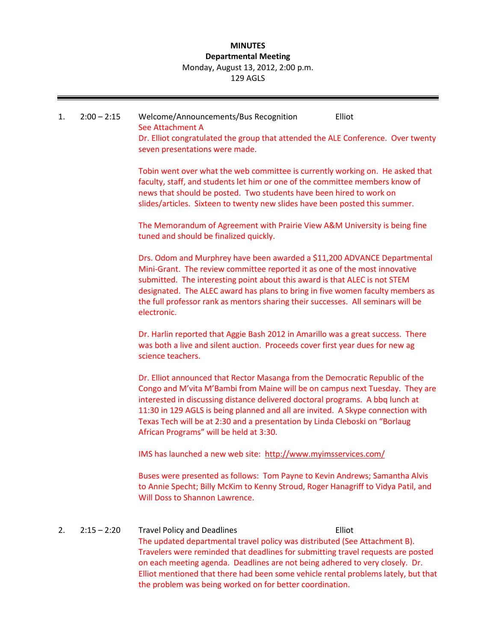## **MINUTES Departmental Meeting** Monday, August 13, 2012, 2:00 p.m. 129 AGLS

# 1. 2:00 – 2:15 Welcome/Announcements/Bus Recognition Elliot See Attachment A Dr. Elliot congratulated the group that attended the ALE Conference. Over twenty seven presentations were made.

Tobin went over what the web committee is currently working on. He asked that faculty, staff, and students let him or one of the committee members know of news that should be posted. Two students have been hired to work on slides/articles. Sixteen to twenty new slides have been posted this summer.

The Memorandum of Agreement with Prairie View A&M University is being fine tuned and should be finalized quickly.

Drs. Odom and Murphrey have been awarded a \$11,200 ADVANCE Departmental Mini-Grant. The review committee reported it as one of the most innovative submitted. The interesting point about this award is that ALEC is not STEM designated. The ALEC award has plans to bring in five women faculty members as the full professor rank as mentors sharing their successes. All seminars will be electronic.

Dr. Harlin reported that Aggie Bash 2012 in Amarillo was a great success. There was both a live and silent auction. Proceeds cover first year dues for new ag science teachers.

Dr. Elliot announced that Rector Masanga from the Democratic Republic of the Congo and M'vita M'Bambi from Maine will be on campus next Tuesday. They are interested in discussing distance delivered doctoral programs. A bbq lunch at 11:30 in 129 AGLS is being planned and all are invited. A Skype connection with Texas Tech will be at 2:30 and a presentation by Linda Cleboski on "Borlaug African Programs" will be held at 3:30.

IMS has launched a new web site: <http://www.myimsservices.com/>

Buses were presented as follows: Tom Payne to Kevin Andrews; Samantha Alvis to Annie Specht; Billy McKim to Kenny Stroud, Roger Hanagriff to Vidya Patil, and Will Doss to Shannon Lawrence.

# 2. 2:15 – 2:20 Travel Policy and Deadlines Elliot

The updated departmental travel policy was distributed (See Attachment B). Travelers were reminded that deadlines for submitting travel requests are posted on each meeting agenda. Deadlines are not being adhered to very closely. Dr. Elliot mentioned that there had been some vehicle rental problems lately, but that the problem was being worked on for better coordination.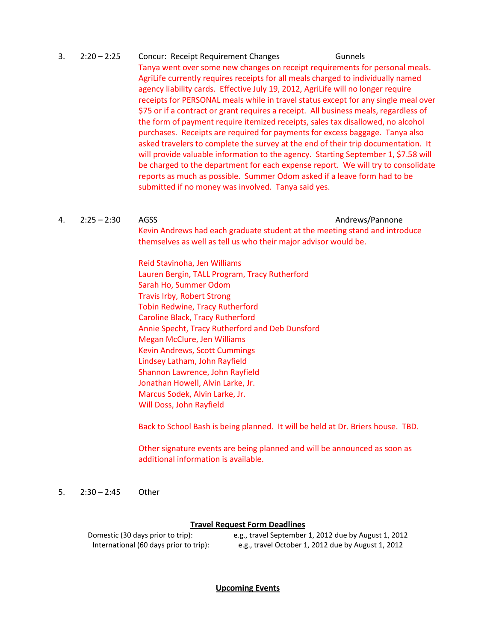# 3. 2:20 – 2:25 Concur: Receipt Requirement Changes Gunnels Tanya went over some new changes on receipt requirements for personal meals. AgriLife currently requires receipts for all meals charged to individually named agency liability cards. Effective July 19, 2012, AgriLife will no longer require receipts for PERSONAL meals while in travel status except for any single meal over \$75 or if a contract or grant requires a receipt. All business meals, regardless of the form of payment require itemized receipts, sales tax disallowed, no alcohol purchases. Receipts are required for payments for excess baggage. Tanya also asked travelers to complete the survey at the end of their trip documentation. It will provide valuable information to the agency. Starting September 1, \$7.58 will be charged to the department for each expense report. We will try to consolidate reports as much as possible. Summer Odom asked if a leave form had to be submitted if no money was involved. Tanya said yes.

#### 4. 2:25 – 2:30 AGSS Andrews/Pannone

Kevin Andrews had each graduate student at the meeting stand and introduce themselves as well as tell us who their major advisor would be.

Reid Stavinoha, Jen Williams Lauren Bergin, TALL Program, Tracy Rutherford Sarah Ho, Summer Odom Travis Irby, Robert Strong Tobin Redwine, Tracy Rutherford Caroline Black, Tracy Rutherford Annie Specht, Tracy Rutherford and Deb Dunsford Megan McClure, Jen Williams Kevin Andrews, Scott Cummings Lindsey Latham, John Rayfield Shannon Lawrence, John Rayfield Jonathan Howell, Alvin Larke, Jr. Marcus Sodek, Alvin Larke, Jr. Will Doss, John Rayfield

Back to School Bash is being planned. It will be held at Dr. Briers house. TBD.

Other signature events are being planned and will be announced as soon as additional information is available.

5. 2:30 – 2:45 Other

## **Travel Request Form Deadlines**

Domestic (30 days prior to trip): e.g., travel September 1, 2012 due by August 1, 2012 International (60 days prior to trip): e.g., travel October 1, 2012 due by August 1, 2012

## **Upcoming Events**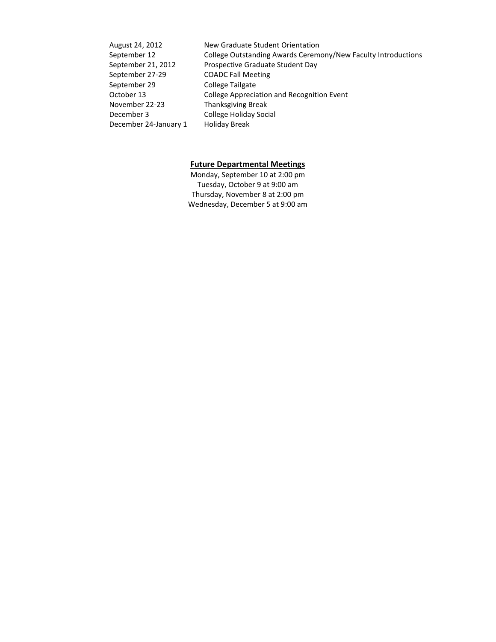| August 24, 2012       | New Graduate Student Orientation                              |
|-----------------------|---------------------------------------------------------------|
| September 12          | College Outstanding Awards Ceremony/New Faculty Introductions |
| September 21, 2012    | Prospective Graduate Student Day                              |
| September 27-29       | <b>COADC Fall Meeting</b>                                     |
| September 29          | <b>College Tailgate</b>                                       |
| October 13            | <b>College Appreciation and Recognition Event</b>             |
| November 22-23        | <b>Thanksgiving Break</b>                                     |
| December 3            | <b>College Holiday Social</b>                                 |
| December 24-January 1 | Holiday Break                                                 |
|                       |                                                               |

## **Future Departmental Meetings**

Monday, September 10 at 2:00 pm Tuesday, October 9 at 9:00 am Thursday, November 8 at 2:00 pm Wednesday, December 5 at 9:00 am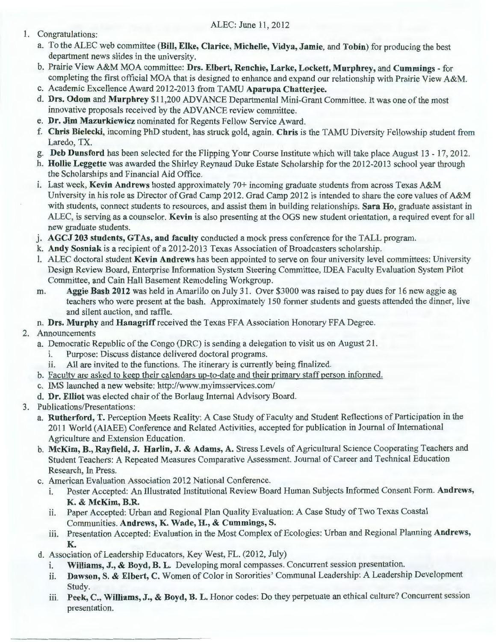## ALEC: June 11, 2012

- 1. Congratulations:
	- a. To the ALEC web committee **(Bill, Elke, Clarice, Michelle, Vidya, Jamie,** and **Tobin)** for producing the best department news slides in the university.
	- b. Prairie View A&M MOA committee: **Drs. Elbert, Renchie, Larke, Lockett, Murphrey,** and **Cummings**  for completing the first official MOA that is designed to enhance and expand our relationship with Prairie View A&M.
	- c. Academic Excellence Award 2012-2013 from TAMU **Aparupa Chatterjee.**
	- **d. Drs. Odom** and **Murphrey** \$11,200 ADVANCE Departmental Mini-Grant Committee. It was one ofthe most innovative proposals received by the ADVANCE review committee.
	- e. **Dr. Jim Mazurkiewicz** nominated for Regents Fellow Service Award.
	- f. **Chris Bielecki,** incoming PhD student, has struck gold, again. **Chris** is the TAMU Diversity Fellowship student from Laredo, TX.
	- g. **Deb Dunsford** has been selected for the Flipping Your Course Institute which will take place August 13- 17, 2012.
	- **h. Hollie Leggette** was awarded the Shirley Reynaud Duke Estate Scholarship for the 2012-2013 school year through the Scholarships and Financial Aid Office.
	- 1. Last week, **Kevin Andrews** hosted approximately 70+ incoming graduate students from across Texas A&M University in his role as Director of Grad Camp 2012. Grad Camp 2012 is intended to share the core values of A&M with students, connect students to resources, and assist them in building relationships. **Sara Ho,** graduate assistant in ALEC, is serving as a counselor. **Kevin** is also presenting at the OGS new student orientation, a required event for all new graduate students.
	- j . **AGCJ 203 students, GTAs, and faculty** conducted a mock press conference for the TALL program.
	- k. **Andy Sosniak** is a recipient of a 2012-2013 Texas Association of Broadcasters scholarship.
	- 1. ALEC doctoral student **Kevin Andrews** has been appointed to serve on four university level committees: University Design Review Board, Enterprise Information System Steering Committee, IDEA Faculty Evaluation System Pilot Committee, and Cain Hall Basement Remodeling Workgroup.
	- m. **Aggie Bash 2012** was held in Amarillo on July 31. Over \$3000 was raised to pay dues for 16 new aggie ag teachers who were present at the bash. Approximately 150 former students and guests attended the dinner, live and silent auction, and raffle.
	- **n. Drs. Murphy** and **Hanagriff** received the Texas FF A Association Honorary FF A Degree.
- 2. Announcements
	- a. Democratic Republic of the Congo (DRC) is sending a delegation to visit us on August 21.
		- i. Purpose: Discuss distance delivered doctoral programs.
		- ii. All are invited to the functions. The itinerary is currently being finalized.
	- b. Facultv are asked to keep their calendars up-to-date and their primary staff person informed.
	- c. IMS launched a new website: http://www.myimsservices.com/
	- **d. Dr. Elliot** was elected chair of the Borlaug Internal Advisory Board.
- 3. Publications/Presentations:
	- a. **Rutherford, T.** Perception Meets Reality: A Case Study of Faculty and Student Reflections of Participation in the 2011 World (AIAEE) Conference and Related Activities, accepted for publication in Journal of International Agriculture and Extension Education.
	- b. **McKim, B., Rayfield, J. Harlin, J. & Adams, A.** Stress Levels of Agricultural Science Cooperating Teachers and Student Teachers: A Repeated Measures Comparative Assessment. Journal of Career and Technical Education Research, In Press.
	- c. American Evaluation Association 2012 National Conference.
		- 1. Poster Accepted: An Illustrated Institutional Review Board Human Subjects Informed Consent Form. **Andrews, K. & McKim, B.R.**
		- ii. Paper Accepted: Urban and Regional Plan Quality Evaluation: A Case Study of Two Texas Coastal Communities. **Andrews, K. Wade, H., & Cummings, S.**
		- iii. Presentation Accepted: Evaluation in the Most Complex of Ecologies: Urban and Regional Planning **Andrews, K.**
	- d. Association ofLeadership Educators, Key West, FL. (2012, July)
		- 1. **Williams, J., & Boyd, B. L.** Developing moral compasses. Concurrent session presentation.
		- ii. **Dawson,** S. & **Elbert,** C. Women of Color in Sororities' Communal Leadership: A Leadership Development Study.
		- **m. Peek,** C., **Williams, J., & Boyd, B. L.** Honor codes: Do they perpetuate an ethical culture? Concurrent session presentation.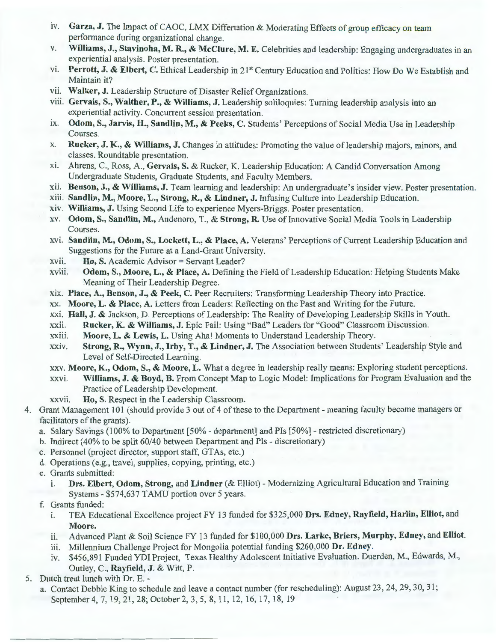- iv. Garza, J. The Impact of CAOC, LMX Differtation & Moderating Effects of group efficacy on team performance during organizational change.
- v. **Williams, J., Stavinoha, M. R., & McClure, M. E.** Celebrities and leadership: Engaging undergraduates in an experiential analysis. Poster presentation.
- vi. Perrott, J. & Elbert, C. Ethical Leadership in 21<sup>st</sup> Century Education and Politics: How Do We Establish and Maintain it?
- vii. Walker, J. Leadership Structure of Disaster Relief Organizations.
- viii. Gervais, S., Walther, P., & Williams, J. Leadership soliloquies: Turning leadership analysis into an experiential activity. Concurrent session presentation.
- 1x. **Odom,** S., **Jarvis, H., Sandlin, M., & Peeks,** C. Students' Perceptions of Social Media Use in Leadership Courses.
- x. **Rucker, J. K., & Williams, J.** Changes in attitudes: Promoting the value of leadership majors, minors, and classes. Roundtable presentation.
- x1. Ahrens, C., Ross, A., **Gervais,** S. & Rucker, K. Leadership Education: A Candid Conversation Among Undergraduate Students, Graduate Students, and Faculty Members.
- x11 . **Benson, J., & Williams, J.** Team learning and leadership: An undergraduate's insider view. Poster presentation.
- Xlll. **Sandlin, M., Moore, L., Strong, R., & Lindner, J.** Infusing Culture into Leadership Education.
- x1v. **Williams, J.** Using Second Life to experience Myers-Briggs. Poster presentation.
- xv. **Odom,** S., **Sandlin, M.,** Andenoro, T., & **Strong, R.** Use of Innovative Social Media Tools in Leadership Courses.
- xv1. **Sandlin, M., Odom,** S., **Lockett, L., & Place, A.** Veterans' Perceptions of Current Leadership Education and Suggestions for the Future at a Land-Grant University.
- xvii. **Ho, S.** Academic Advisor = Servant Leader?
- xviii. **Odom, S., Moore, L., & Place, A.** Defining the Field of Leadership Education: Helping Students Make Meaning of Their Leadership Degree.
- x1x. **Place,** A., **Benson, J., & Peek,** C. Peer Recruiters: Transforming Leadership Theory into Practice.
- xx. **Moore, L. & Place, A.** Letters from Leaders: Reflecting on the Past and Writing for the Future.
- xxi. **Hall, J.** & Jackson, D. Perceptions of Leadership: The Reality of Developing Leadership Skills in Youth.
- xx11. **Rucker, K. & Williams, J.** Epic Fail: Using "Bad" Leaders for "Good" Classroom Discussion.
- XXlll. **Moore, L. & Lewis, L.** Using Aha! Moments to Understand Leadership Theory.
- xxiv. **Strong, R., Wynn, J., Irby, T., & Lindner, J.** The Association between Students' Leadership Style and Level of Self-Directed Learning.
- xxv. **Moore, K., Odom,** S., & **Moore, L.** What a degree in leadership really means: Exploring student perceptions.
- xxv1. **Williams, J. & Boyd, B.** From Concept Map to Logic Model: Implications for Program Evaluation and the Practice of Leadership Development.
- xxvii. **Ho,** S. Respect in the Leadership Classroom.
- 4. Grant Management 101 (should provide 3 out of 4 of these to the Department- meaning faculty become managers or facilitators of the grants).
	- a. Salary Savings (100% to Department [50% department] and Pis [50%] restricted discretionary)
	- b. Indirect ( 40% to be split 60/40 between Department and Pis discretionary)
	- c. Personnel (project director, support staff, GTAs, etc.)
	- d. Operations (e.g., travel, supplies, copying, printing, etc.)
	- e. Grants submitted:
		- 1. **Drs. Elbert, Odom, Strong,** and **Lindner** (&Elliot) Modernizing Agricultural Education and Training Systems - \$574,637 TAMU portion over 5 years.
	- f. Grants funded:
		- 1. TEA Educational Excellence project FY 13 funded for \$325,000 **Drs. Edney, Rayfield, Harlin, Elliot,** and **Moore.**
		- ii. Advanced Plant & Soil Science FY 13 funded for \$100,000 **Drs. Larke, Briers, Murphy, Edney,** and **Elliot.**
		- iii. Millennium Challenge Project for Mongolia potential funding \$260,000 Dr. Edney.
		- iv. \$456,891 Funded YDI Project, Texas Healthy Adolescent Initiative Evaluation. Duerden, M., Edwards, M., Outley, C., **Rayfield, J.** & Witt, P.
- 5. Dutch treat lunch with Dr. E.
	- a. Contact Debbie King to schedule and leave a contact number (for rescheduling): August 23, 24, 29, 30, 31; September 4, 7, 19, 21, 28; October 2, 3, 5, 8, 11, 12, 16, 17, 18, 19